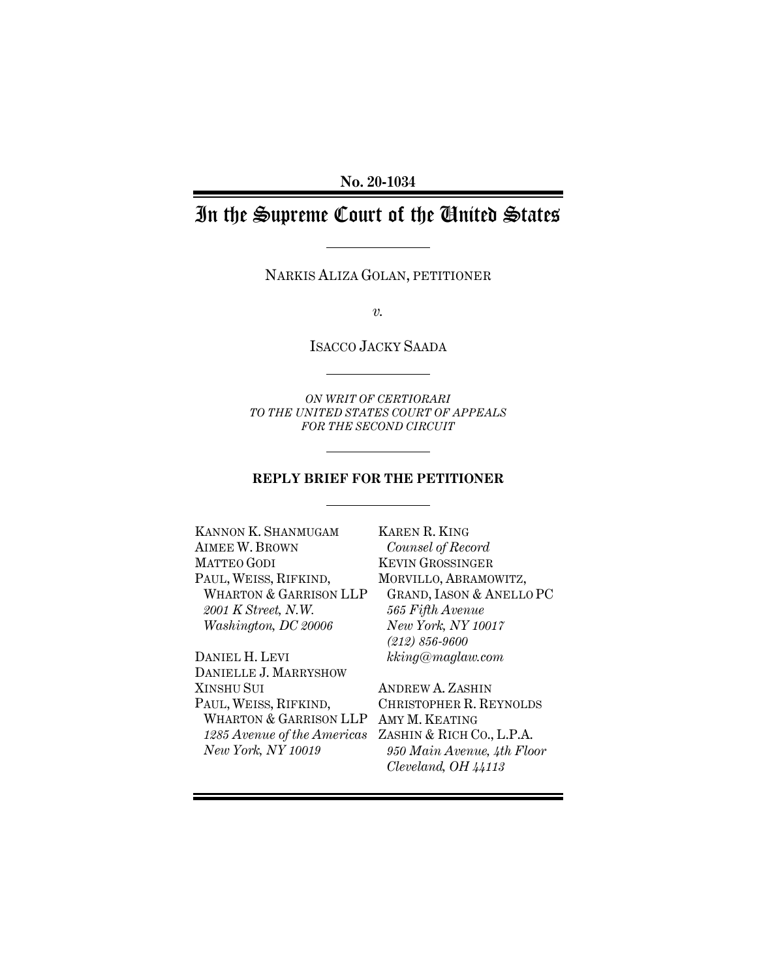**No. 20-1034**

# In the Supreme Court of the United States

NARKIS ALIZA GOLAN, PETITIONER

*v.*

ISACCO JACKY SAADA

*ON WRIT OF CERTIORARI TO THE UNITED STATES COURT OF APPEALS FOR THE SECOND CIRCUIT* 

#### **REPLY BRIEF FOR THE PETITIONER**

KANNON K. SHANMUGAM AIMEE W. BROWN MATTEO GODI PAUL, WEISS, RIFKIND, WHARTON & GARRISON LLP *2001 K Street, N.W. Washington, DC 20006*

DANIEL H. LEVI DANIELLE J. MARRYSHOW XINSHU SUI PAUL, WEISS, RIFKIND, WHARTON & GARRISON LLP AMY M. KEATING *1285 Avenue of the Americas* ZASHIN & RICH CO., L.P.A. *New York, NY 10019*

KAREN R. KING *Counsel of Record* KEVIN GROSSINGER MORVILLO, ABRAMOWITZ, GRAND, IASON & ANELLO PC *565 Fifth Avenue New York, NY 10017 (212) 856-9600 kking@maglaw.com*

ANDREW A. ZASHIN CHRISTOPHER R. REYNOLDS *950 Main Avenue, 4th Floor Cleveland, OH 44113*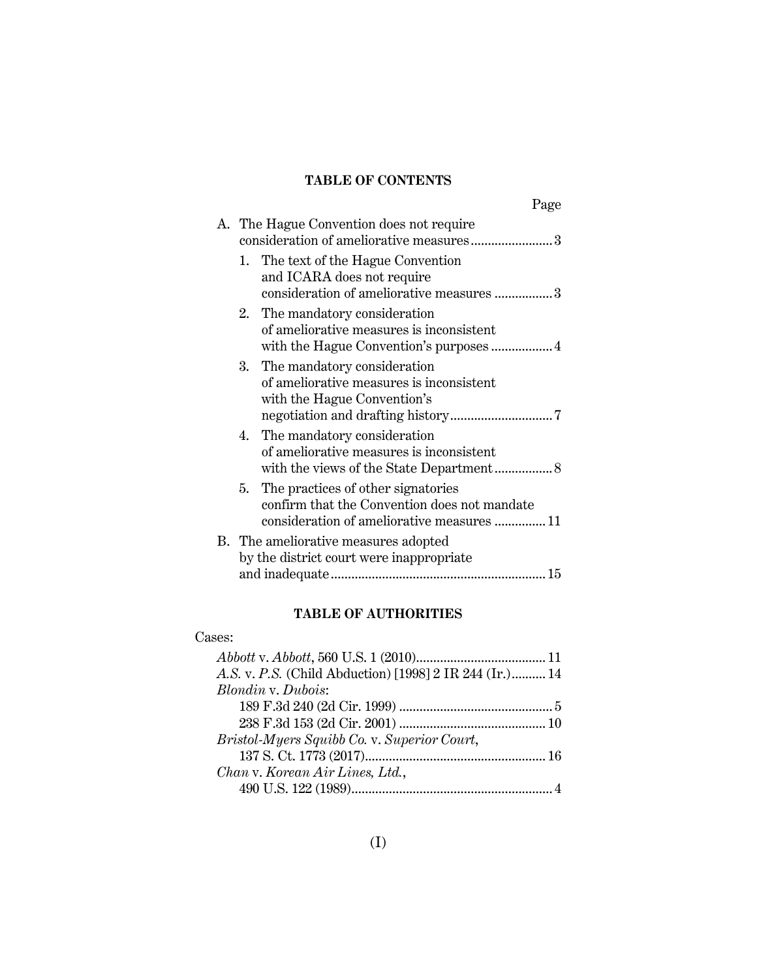## **TABLE OF CONTENTS**

|                                                                                                                                     | Page |
|-------------------------------------------------------------------------------------------------------------------------------------|------|
| A. The Hague Convention does not require<br>consideration of ameliorative measures3                                                 |      |
| The text of the Hague Convention<br>1.<br>and ICARA does not require<br>consideration of ameliorative measures 3                    |      |
| 2. The mandatory consideration<br>of ameliorative measures is inconsistent                                                          |      |
| 3.<br>The mandatory consideration<br>of ameliorative measures is inconsistent<br>with the Hague Convention's                        |      |
| 4. The mandatory consideration<br>of ameliorative measures is inconsistent                                                          |      |
| 5. The practices of other signatories<br>confirm that the Convention does not mandate<br>consideration of ameliorative measures  11 |      |
| B. The ameliorative measures adopted<br>by the district court were inappropriate                                                    |      |

## **TABLE OF AUTHORITIES**

## Cases:

| A.S. v. P.S. (Child Abduction) [1998] 2 IR 244 (Ir.) 14 |  |
|---------------------------------------------------------|--|
| Blondin v. Dubois:                                      |  |
|                                                         |  |
|                                                         |  |
| Bristol-Myers Squibb Co. v. Superior Court,             |  |
|                                                         |  |
| Chan v. Korean Air Lines, Ltd.,                         |  |
|                                                         |  |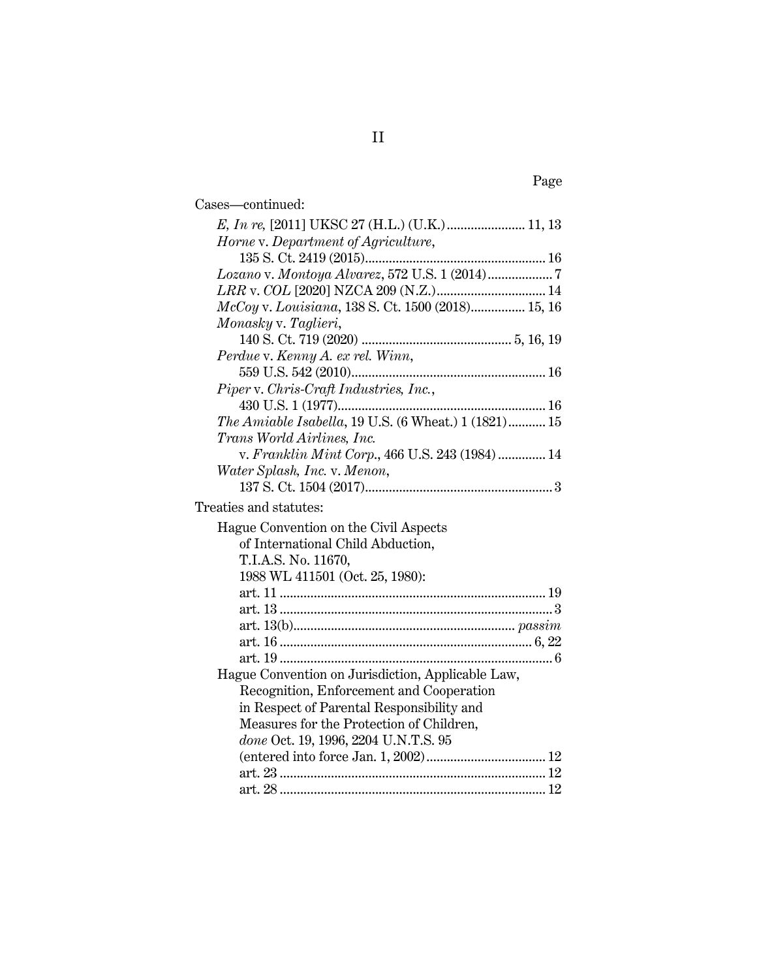| Cases-continued:                                     |
|------------------------------------------------------|
|                                                      |
| Horne v. Department of Agriculture,                  |
|                                                      |
|                                                      |
|                                                      |
| McCoy v. Louisiana, 138 S. Ct. 1500 (2018) 15, 16    |
| Monasky v. Taglieri,                                 |
|                                                      |
| Perdue v. Kenny A. ex rel. Winn,                     |
|                                                      |
| Piper v. Chris-Craft Industries, Inc.,               |
|                                                      |
| The Amiable Isabella, 19 U.S. (6 Wheat.) 1 (1821) 15 |
| Trans World Airlines, Inc.                           |
| v. Franklin Mint Corp., 466 U.S. 243 (1984) 14       |
| Water Splash, Inc. v. Menon,                         |
|                                                      |
| Treaties and statutes:                               |
| Hague Convention on the Civil Aspects                |
| of International Child Abduction,                    |
| T.I.A.S. No. 11670,                                  |
| 1988 WL 411501 (Oct. 25, 1980):                      |
|                                                      |
|                                                      |
|                                                      |
|                                                      |
|                                                      |
| Hague Convention on Jurisdiction, Applicable Law,    |
| Recognition, Enforcement and Cooperation             |
| in Respect of Parental Responsibility and            |
| Measures for the Protection of Children,             |
| done Oct. 19, 1996, 2204 U.N.T.S. 95                 |
|                                                      |
|                                                      |
|                                                      |
|                                                      |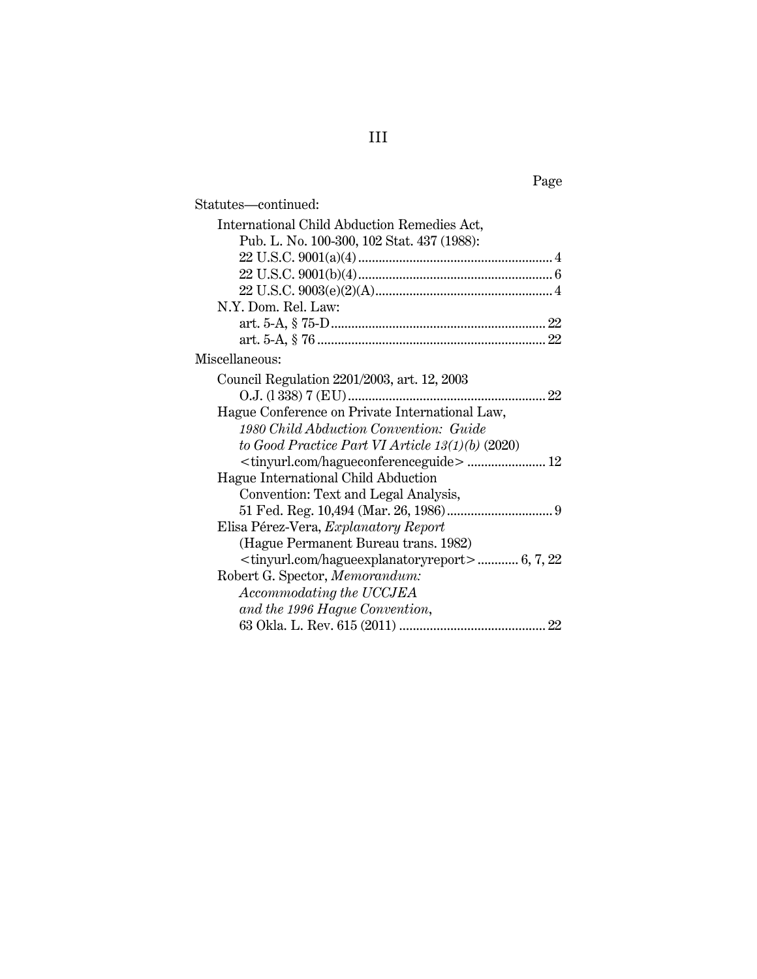|--|

| Statutes-continued:                                            |
|----------------------------------------------------------------|
| International Child Abduction Remedies Act,                    |
| Pub. L. No. 100-300, 102 Stat. 437 (1988):                     |
|                                                                |
|                                                                |
|                                                                |
| N.Y. Dom. Rel. Law:                                            |
|                                                                |
|                                                                |
| Miscellaneous:                                                 |
| Council Regulation 2201/2003, art. 12, 2003                    |
|                                                                |
| Hague Conference on Private International Law,                 |
| 1980 Child Abduction Convention: Guide                         |
| to Good Practice Part VI Article $13(1)(b)$ (2020)             |
| <tinyurl.com hagueconferenceguide=""> 12</tinyurl.com>         |
| Hague International Child Abduction                            |
| Convention: Text and Legal Analysis,                           |
|                                                                |
| Elisa Pérez-Vera, Explanatory Report                           |
| (Hague Permanent Bureau trans. 1982)                           |
| <tinyurl.com hagueexplanatoryreport=""> 6, 7, 22</tinyurl.com> |
| Robert G. Spector, Memorandum:                                 |
| Accommodating the UCCJEA                                       |
| and the 1996 Hague Convention,                                 |
|                                                                |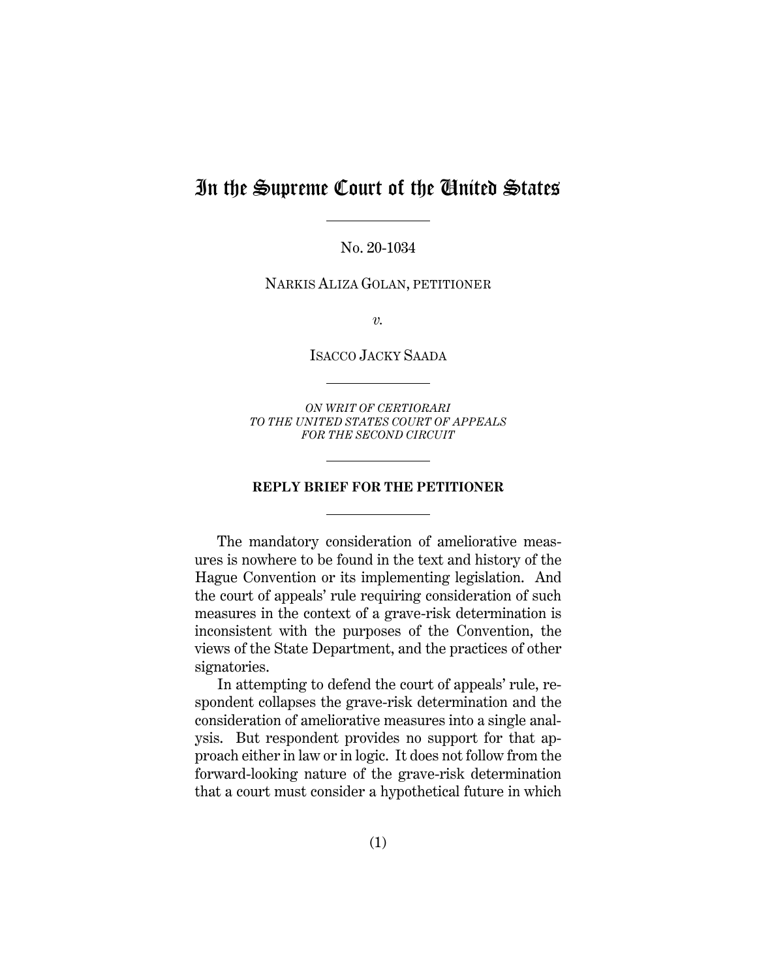## In the Supreme Court of the United States

No. 20-1034

NARKIS ALIZA GOLAN, PETITIONER

*v.*

ISACCO JACKY SAADA

*ON WRIT OF CERTIORARI TO THE UNITED STATES COURT OF APPEALS FOR THE SECOND CIRCUIT* 

#### **REPLY BRIEF FOR THE PETITIONER**

The mandatory consideration of ameliorative measures is nowhere to be found in the text and history of the Hague Convention or its implementing legislation. And the court of appeals' rule requiring consideration of such measures in the context of a grave-risk determination is inconsistent with the purposes of the Convention, the views of the State Department, and the practices of other signatories.

In attempting to defend the court of appeals' rule, respondent collapses the grave-risk determination and the consideration of ameliorative measures into a single analysis. But respondent provides no support for that approach either in law or in logic. It does not follow from the forward-looking nature of the grave-risk determination that a court must consider a hypothetical future in which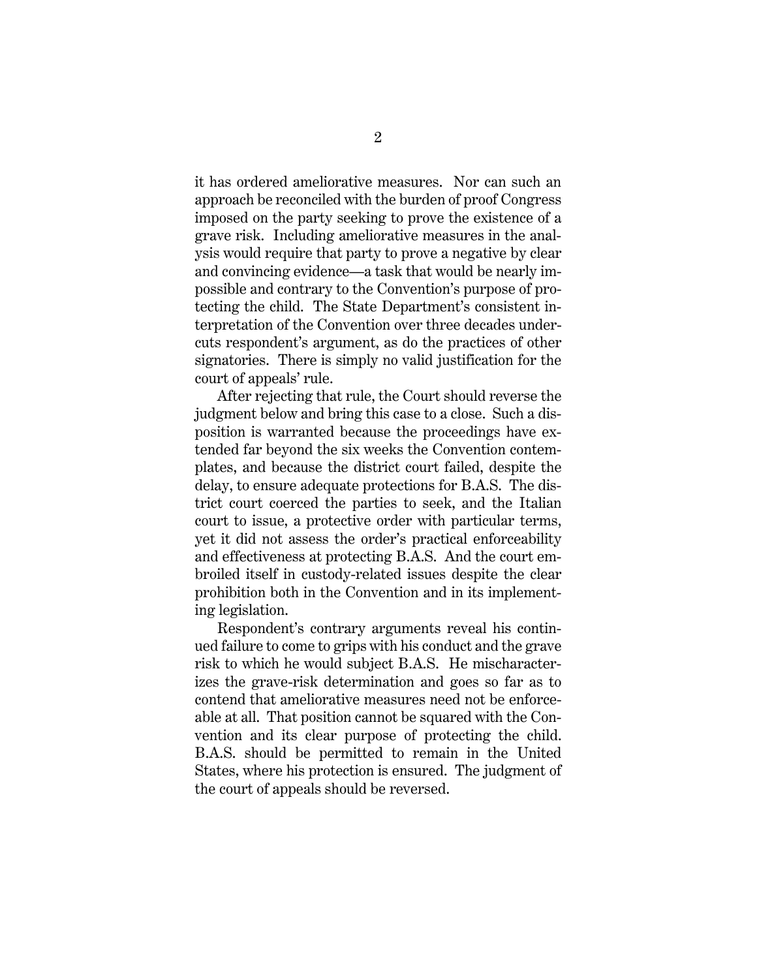it has ordered ameliorative measures. Nor can such an approach be reconciled with the burden of proof Congress imposed on the party seeking to prove the existence of a grave risk. Including ameliorative measures in the analysis would require that party to prove a negative by clear and convincing evidence—a task that would be nearly impossible and contrary to the Convention's purpose of protecting the child. The State Department's consistent interpretation of the Convention over three decades undercuts respondent's argument, as do the practices of other signatories. There is simply no valid justification for the court of appeals' rule.

After rejecting that rule, the Court should reverse the judgment below and bring this case to a close. Such a disposition is warranted because the proceedings have extended far beyond the six weeks the Convention contemplates, and because the district court failed, despite the delay, to ensure adequate protections for B.A.S. The district court coerced the parties to seek, and the Italian court to issue, a protective order with particular terms, yet it did not assess the order's practical enforceability and effectiveness at protecting B.A.S. And the court embroiled itself in custody-related issues despite the clear prohibition both in the Convention and in its implementing legislation.

Respondent's contrary arguments reveal his continued failure to come to grips with his conduct and the grave risk to which he would subject B.A.S. He mischaracterizes the grave-risk determination and goes so far as to contend that ameliorative measures need not be enforceable at all. That position cannot be squared with the Convention and its clear purpose of protecting the child. B.A.S. should be permitted to remain in the United States, where his protection is ensured. The judgment of the court of appeals should be reversed.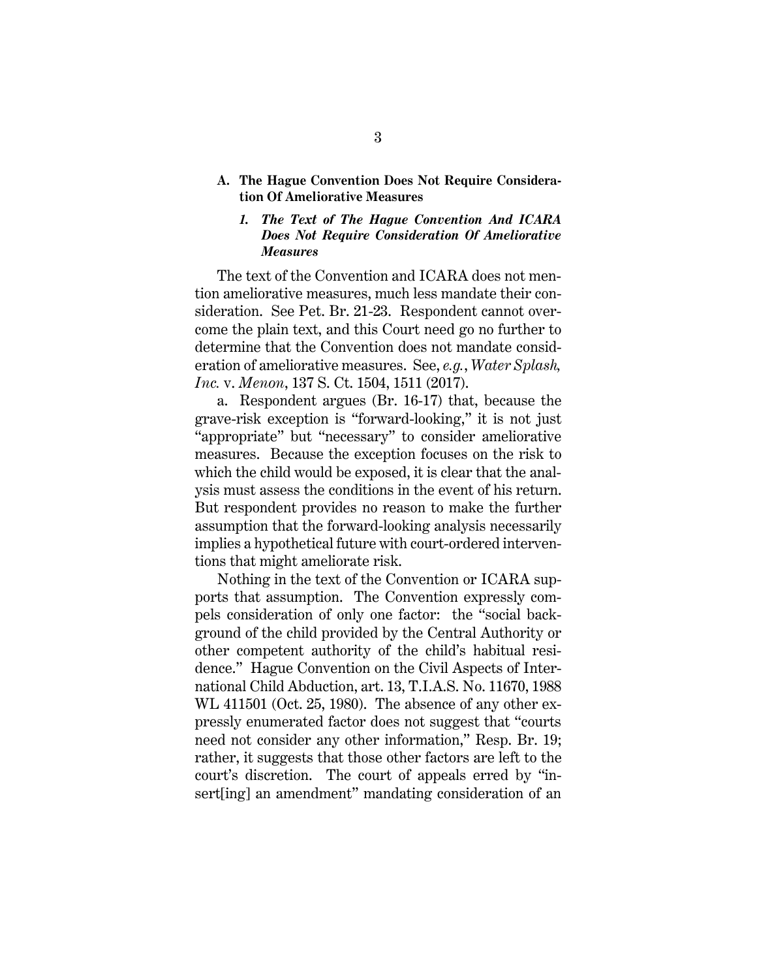**A. The Hague Convention Does Not Require Consideration Of Ameliorative Measures**

#### *1. The Text of The Hague Convention And ICARA Does Not Require Consideration Of Ameliorative Measures*

The text of the Convention and ICARA does not mention ameliorative measures, much less mandate their consideration. See Pet. Br. 21-23. Respondent cannot overcome the plain text, and this Court need go no further to determine that the Convention does not mandate consideration of ameliorative measures. See, *e.g.*, *Water Splash, Inc.* v. *Menon*, 137 S. Ct. 1504, 1511 (2017).

a. Respondent argues (Br. 16-17) that, because the grave-risk exception is "forward-looking," it is not just "appropriate" but "necessary" to consider ameliorative measures. Because the exception focuses on the risk to which the child would be exposed, it is clear that the analysis must assess the conditions in the event of his return. But respondent provides no reason to make the further assumption that the forward-looking analysis necessarily implies a hypothetical future with court-ordered interventions that might ameliorate risk.

Nothing in the text of the Convention or ICARA supports that assumption. The Convention expressly compels consideration of only one factor: the "social background of the child provided by the Central Authority or other competent authority of the child's habitual residence." Hague Convention on the Civil Aspects of International Child Abduction, art. 13, T.I.A.S. No. 11670, 1988 WL 411501 (Oct. 25, 1980). The absence of any other expressly enumerated factor does not suggest that "courts need not consider any other information," Resp. Br. 19; rather, it suggests that those other factors are left to the court's discretion. The court of appeals erred by "insert[ing] an amendment" mandating consideration of an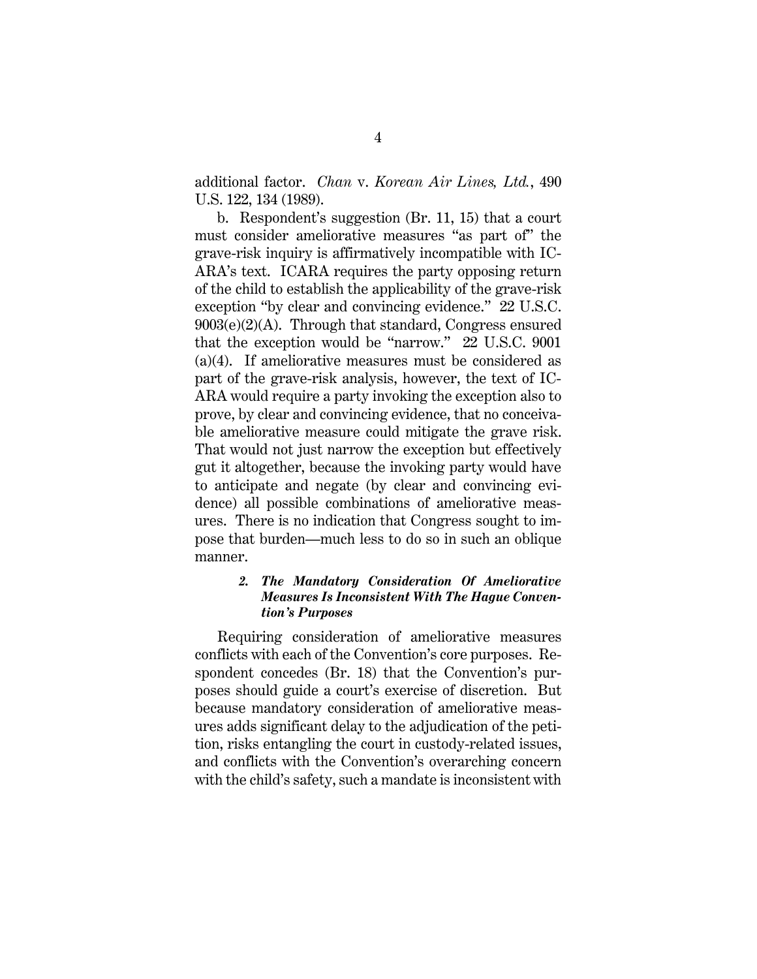additional factor. *Chan* v. *Korean Air Lines, Ltd.*, 490 U.S. 122, 134 (1989).

b. Respondent's suggestion (Br. 11, 15) that a court must consider ameliorative measures "as part of" the grave-risk inquiry is affirmatively incompatible with IC-ARA's text. ICARA requires the party opposing return of the child to establish the applicability of the grave-risk exception "by clear and convincing evidence." 22 U.S.C.  $9003(e)(2)(A)$ . Through that standard, Congress ensured that the exception would be "narrow." 22 U.S.C. 9001 (a)(4). If ameliorative measures must be considered as part of the grave-risk analysis, however, the text of IC-ARA would require a party invoking the exception also to prove, by clear and convincing evidence, that no conceivable ameliorative measure could mitigate the grave risk. That would not just narrow the exception but effectively gut it altogether, because the invoking party would have to anticipate and negate (by clear and convincing evidence) all possible combinations of ameliorative measures. There is no indication that Congress sought to impose that burden—much less to do so in such an oblique manner.

#### *2. The Mandatory Consideration Of Ameliorative Measures Is Inconsistent With The Hague Convention's Purposes*

Requiring consideration of ameliorative measures conflicts with each of the Convention's core purposes. Respondent concedes (Br. 18) that the Convention's purposes should guide a court's exercise of discretion. But because mandatory consideration of ameliorative measures adds significant delay to the adjudication of the petition, risks entangling the court in custody-related issues, and conflicts with the Convention's overarching concern with the child's safety, such a mandate is inconsistent with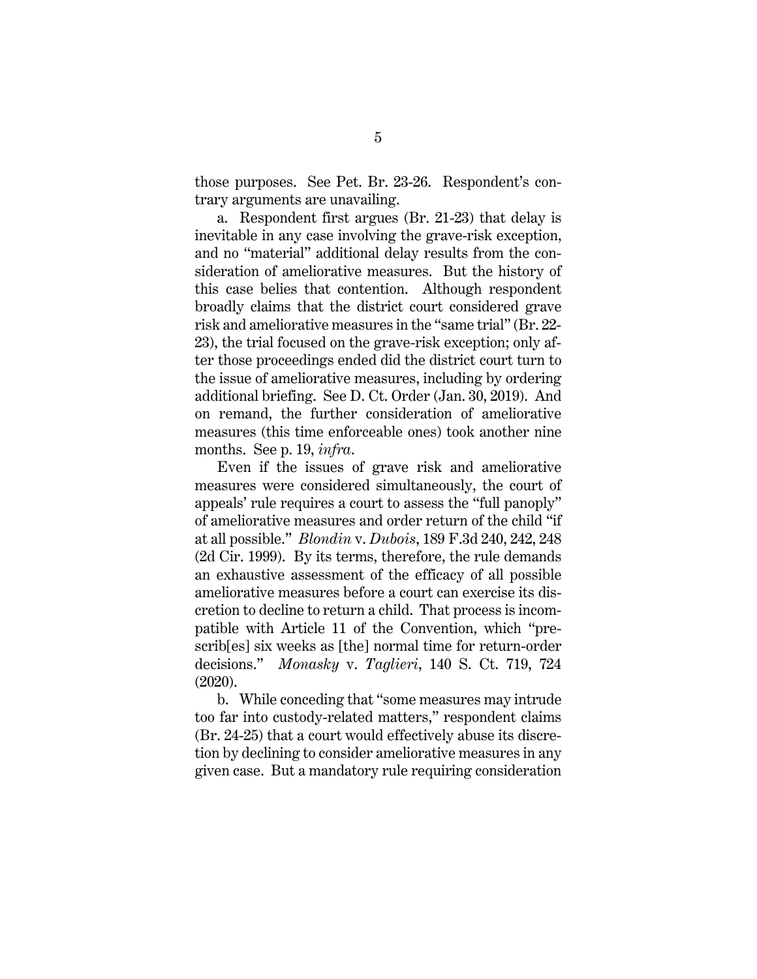those purposes. See Pet. Br. 23-26. Respondent's contrary arguments are unavailing.

a. Respondent first argues (Br. 21-23) that delay is inevitable in any case involving the grave-risk exception, and no "material" additional delay results from the consideration of ameliorative measures. But the history of this case belies that contention. Although respondent broadly claims that the district court considered grave risk and ameliorative measures in the "same trial" (Br. 22- 23), the trial focused on the grave-risk exception; only after those proceedings ended did the district court turn to the issue of ameliorative measures, including by ordering additional briefing. See D. Ct. Order (Jan. 30, 2019). And on remand, the further consideration of ameliorative measures (this time enforceable ones) took another nine months. See p. 19, *infra*.

Even if the issues of grave risk and ameliorative measures were considered simultaneously, the court of appeals' rule requires a court to assess the "full panoply" of ameliorative measures and order return of the child "if at all possible." *Blondin* v. *Dubois*, 189 F.3d 240, 242, 248 (2d Cir. 1999). By its terms, therefore, the rule demands an exhaustive assessment of the efficacy of all possible ameliorative measures before a court can exercise its discretion to decline to return a child. That process is incompatible with Article 11 of the Convention, which "prescrib[es] six weeks as [the] normal time for return-order decisions." *Monasky* v. *Taglieri*, 140 S. Ct. 719, 724 (2020).

b. While conceding that "some measures may intrude too far into custody-related matters," respondent claims (Br. 24-25) that a court would effectively abuse its discretion by declining to consider ameliorative measures in any given case. But a mandatory rule requiring consideration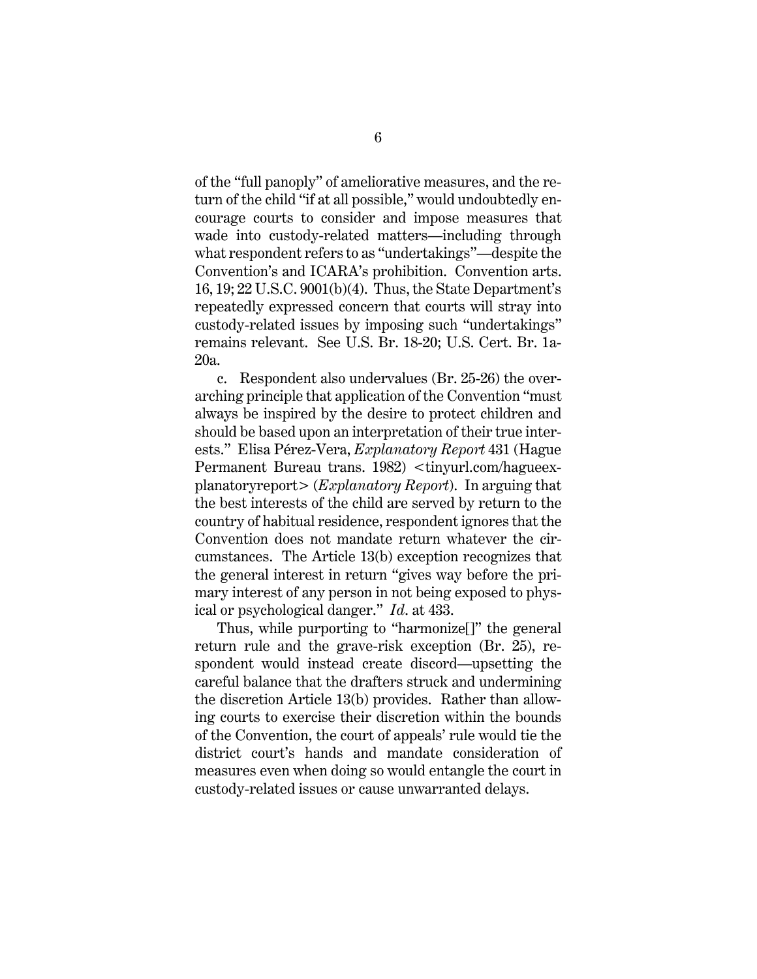of the "full panoply" of ameliorative measures, and the return of the child "if at all possible," would undoubtedly encourage courts to consider and impose measures that wade into custody-related matters—including through what respondent refers to as "undertakings"—despite the Convention's and ICARA's prohibition. Convention arts. 16, 19; 22 U.S.C. 9001(b)(4). Thus, the State Department's repeatedly expressed concern that courts will stray into custody-related issues by imposing such "undertakings" remains relevant. See U.S. Br. 18-20; U.S. Cert. Br. 1a-20a.

c. Respondent also undervalues (Br. 25-26) the overarching principle that application of the Convention "must always be inspired by the desire to protect children and should be based upon an interpretation of their true interests." Elisa Pérez-Vera, *Explanatory Report* 431 (Hague Permanent Bureau trans. 1982) <tinyurl.com/hagueexplanatoryreport> (*Explanatory Report*). In arguing that the best interests of the child are served by return to the country of habitual residence, respondent ignores that the Convention does not mandate return whatever the circumstances. The Article 13(b) exception recognizes that the general interest in return "gives way before the primary interest of any person in not being exposed to physical or psychological danger." *Id*. at 433.

Thus, while purporting to "harmonize[]" the general return rule and the grave-risk exception (Br. 25), respondent would instead create discord—upsetting the careful balance that the drafters struck and undermining the discretion Article 13(b) provides. Rather than allowing courts to exercise their discretion within the bounds of the Convention, the court of appeals' rule would tie the district court's hands and mandate consideration of measures even when doing so would entangle the court in custody-related issues or cause unwarranted delays.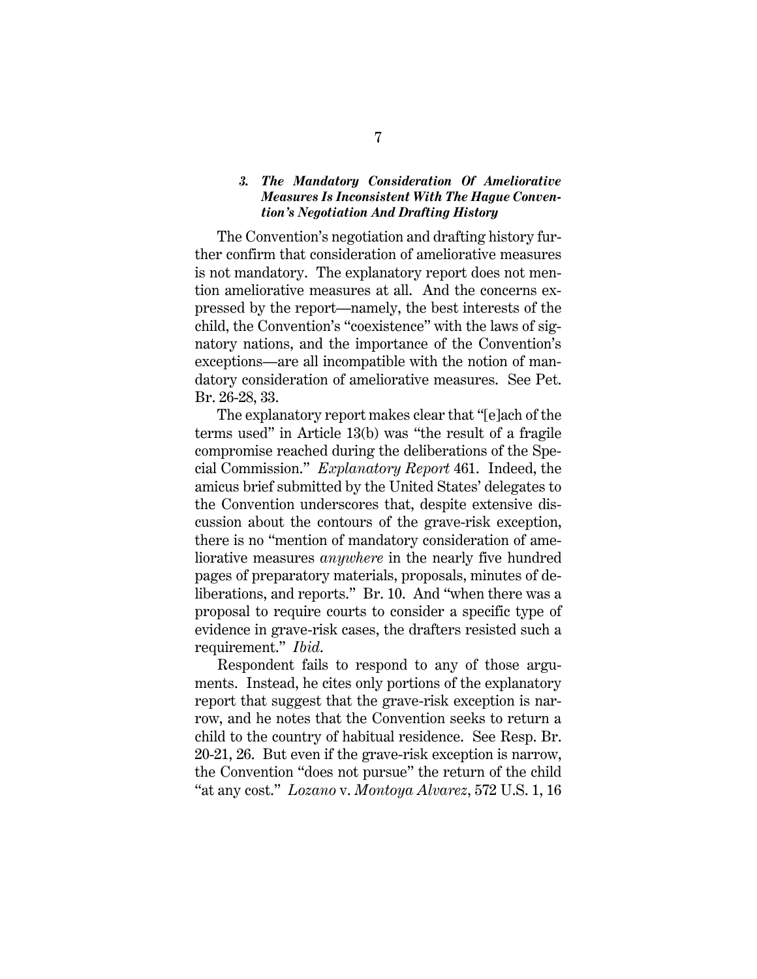#### *3. The Mandatory Consideration Of Ameliorative Measures Is Inconsistent With The Hague Convention's Negotiation And Drafting History*

The Convention's negotiation and drafting history further confirm that consideration of ameliorative measures is not mandatory. The explanatory report does not mention ameliorative measures at all. And the concerns expressed by the report—namely, the best interests of the child, the Convention's "coexistence" with the laws of signatory nations, and the importance of the Convention's exceptions—are all incompatible with the notion of mandatory consideration of ameliorative measures. See Pet. Br. 26-28, 33.

The explanatory report makes clear that "[e]ach of the terms used" in Article 13(b) was "the result of a fragile compromise reached during the deliberations of the Special Commission." *Explanatory Report* 461. Indeed, the amicus brief submitted by the United States' delegates to the Convention underscores that, despite extensive discussion about the contours of the grave-risk exception, there is no "mention of mandatory consideration of ameliorative measures *anywhere* in the nearly five hundred pages of preparatory materials, proposals, minutes of deliberations, and reports." Br. 10. And "when there was a proposal to require courts to consider a specific type of evidence in grave-risk cases, the drafters resisted such a requirement." *Ibid*.

Respondent fails to respond to any of those arguments. Instead, he cites only portions of the explanatory report that suggest that the grave-risk exception is narrow, and he notes that the Convention seeks to return a child to the country of habitual residence. See Resp. Br. 20-21, 26. But even if the grave-risk exception is narrow, the Convention "does not pursue" the return of the child "at any cost." *Lozano* v. *Montoya Alvarez*, 572 U.S. 1, 16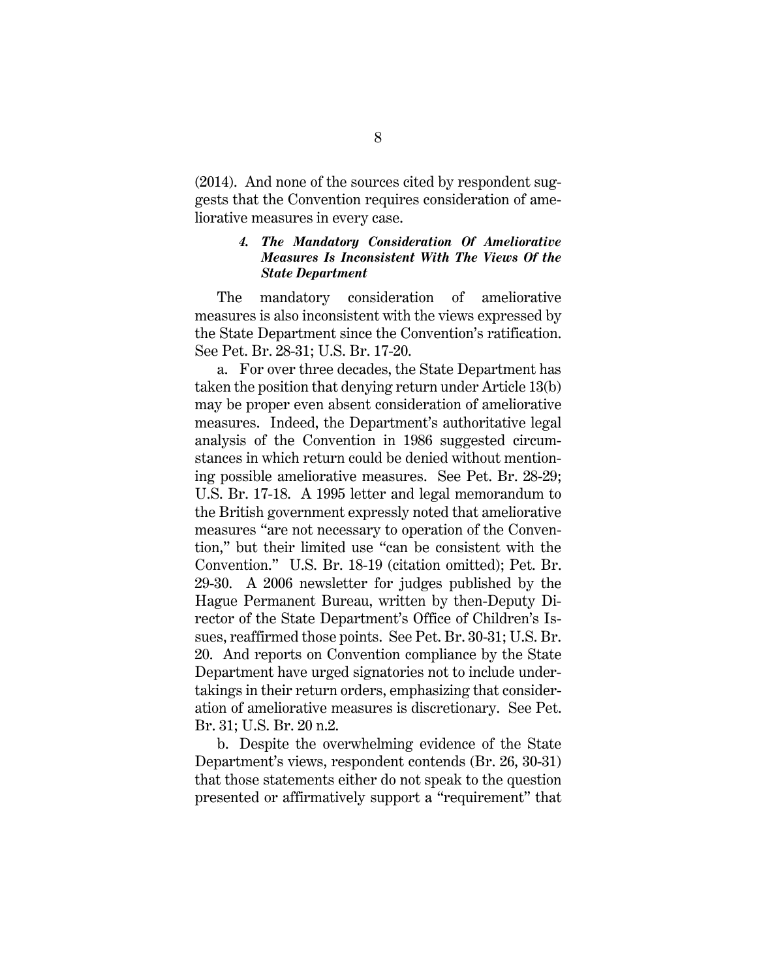(2014). And none of the sources cited by respondent suggests that the Convention requires consideration of ameliorative measures in every case.

#### *4. The Mandatory Consideration Of Ameliorative Measures Is Inconsistent With The Views Of the State Department*

The mandatory consideration of ameliorative measures is also inconsistent with the views expressed by the State Department since the Convention's ratification. See Pet. Br. 28-31; U.S. Br. 17-20.

a. For over three decades, the State Department has taken the position that denying return under Article 13(b) may be proper even absent consideration of ameliorative measures. Indeed, the Department's authoritative legal analysis of the Convention in 1986 suggested circumstances in which return could be denied without mentioning possible ameliorative measures. See Pet. Br. 28-29; U.S. Br. 17-18. A 1995 letter and legal memorandum to the British government expressly noted that ameliorative measures "are not necessary to operation of the Convention," but their limited use "can be consistent with the Convention." U.S. Br. 18-19 (citation omitted); Pet. Br. 29-30. A 2006 newsletter for judges published by the Hague Permanent Bureau, written by then-Deputy Director of the State Department's Office of Children's Issues, reaffirmed those points. See Pet. Br. 30-31; U.S. Br. 20. And reports on Convention compliance by the State Department have urged signatories not to include undertakings in their return orders, emphasizing that consideration of ameliorative measures is discretionary. See Pet. Br. 31; U.S. Br. 20 n.2.

b. Despite the overwhelming evidence of the State Department's views, respondent contends (Br. 26, 30-31) that those statements either do not speak to the question presented or affirmatively support a "requirement" that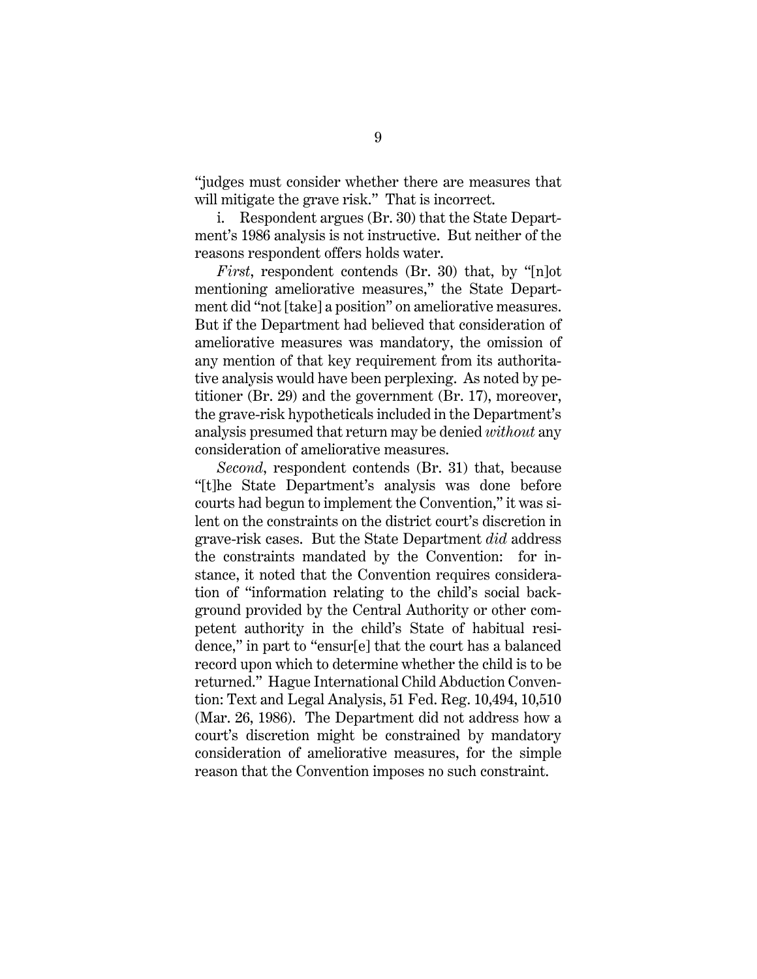"judges must consider whether there are measures that will mitigate the grave risk." That is incorrect.

i. Respondent argues (Br. 30) that the State Department's 1986 analysis is not instructive. But neither of the reasons respondent offers holds water.

*First*, respondent contends (Br. 30) that, by "[n]ot mentioning ameliorative measures," the State Department did "not [take] a position" on ameliorative measures. But if the Department had believed that consideration of ameliorative measures was mandatory, the omission of any mention of that key requirement from its authoritative analysis would have been perplexing. As noted by petitioner (Br. 29) and the government (Br. 17), moreover, the grave-risk hypotheticals included in the Department's analysis presumed that return may be denied *without* any consideration of ameliorative measures.

*Second*, respondent contends (Br. 31) that, because "[t]he State Department's analysis was done before courts had begun to implement the Convention," it was silent on the constraints on the district court's discretion in grave-risk cases. But the State Department *did* address the constraints mandated by the Convention: for instance, it noted that the Convention requires consideration of "information relating to the child's social background provided by the Central Authority or other competent authority in the child's State of habitual residence," in part to "ensur[e] that the court has a balanced record upon which to determine whether the child is to be returned." Hague International Child Abduction Convention: Text and Legal Analysis, 51 Fed. Reg. 10,494, 10,510 (Mar. 26, 1986). The Department did not address how a court's discretion might be constrained by mandatory consideration of ameliorative measures, for the simple reason that the Convention imposes no such constraint.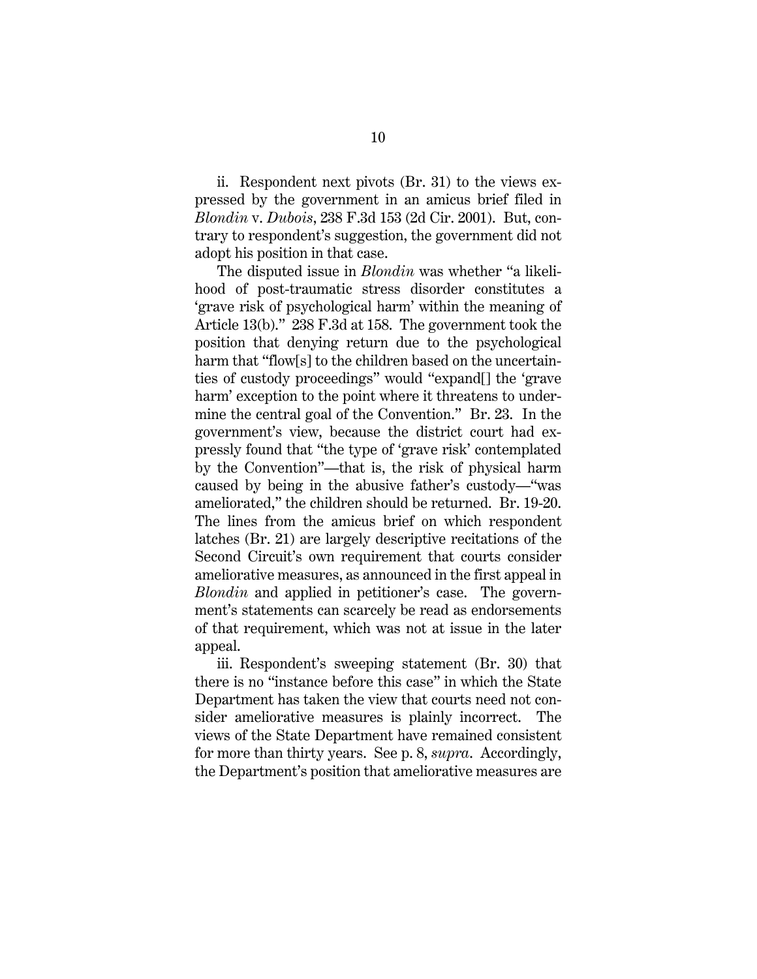ii. Respondent next pivots (Br. 31) to the views expressed by the government in an amicus brief filed in *Blondin* v. *Dubois*, 238 F.3d 153 (2d Cir. 2001). But, contrary to respondent's suggestion, the government did not adopt his position in that case.

The disputed issue in *Blondin* was whether "a likelihood of post-traumatic stress disorder constitutes a 'grave risk of psychological harm' within the meaning of Article 13(b)." 238 F.3d at 158. The government took the position that denying return due to the psychological harm that "flow[s] to the children based on the uncertainties of custody proceedings" would "expand[] the 'grave harm' exception to the point where it threatens to undermine the central goal of the Convention." Br. 23. In the government's view, because the district court had expressly found that "the type of 'grave risk' contemplated by the Convention"—that is, the risk of physical harm caused by being in the abusive father's custody—"was ameliorated," the children should be returned. Br. 19-20. The lines from the amicus brief on which respondent latches (Br. 21) are largely descriptive recitations of the Second Circuit's own requirement that courts consider ameliorative measures, as announced in the first appeal in *Blondin* and applied in petitioner's case. The government's statements can scarcely be read as endorsements of that requirement, which was not at issue in the later appeal.

iii. Respondent's sweeping statement (Br. 30) that there is no "instance before this case" in which the State Department has taken the view that courts need not consider ameliorative measures is plainly incorrect. The views of the State Department have remained consistent for more than thirty years. See p. 8, *supra*. Accordingly, the Department's position that ameliorative measures are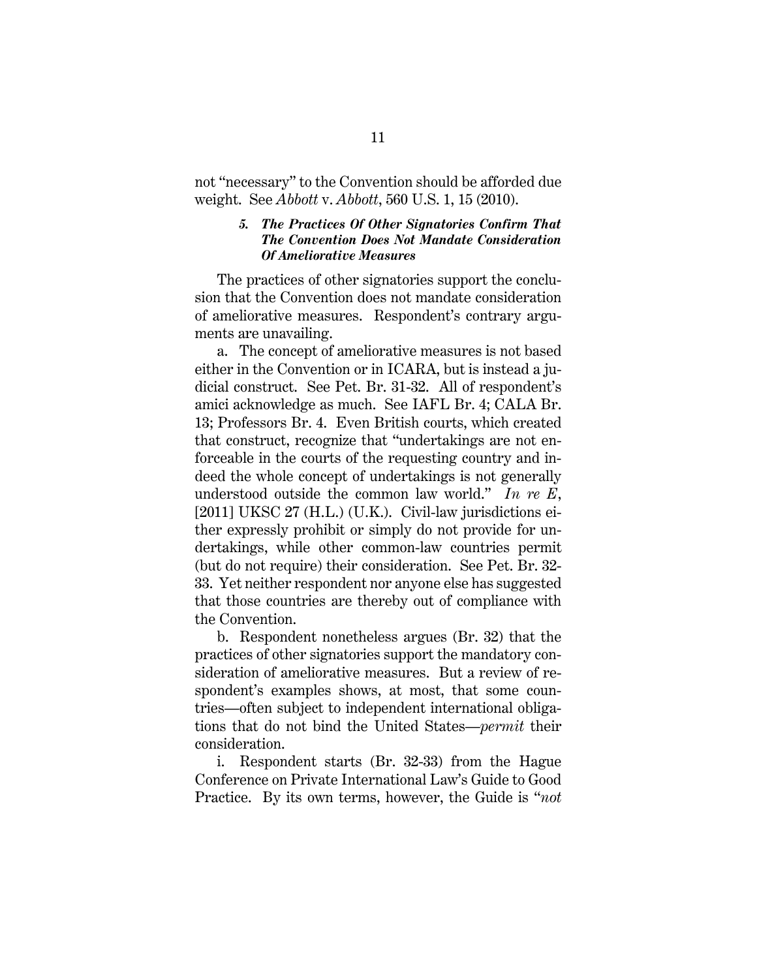not "necessary" to the Convention should be afforded due weight. See *Abbott* v. *Abbott*, 560 U.S. 1, 15 (2010).

#### *5. The Practices Of Other Signatories Confirm That The Convention Does Not Mandate Consideration Of Ameliorative Measures*

The practices of other signatories support the conclusion that the Convention does not mandate consideration of ameliorative measures. Respondent's contrary arguments are unavailing.

a. The concept of ameliorative measures is not based either in the Convention or in ICARA, but is instead a judicial construct. See Pet. Br. 31-32. All of respondent's amici acknowledge as much. See IAFL Br. 4; CALA Br. 13; Professors Br. 4. Even British courts, which created that construct, recognize that "undertakings are not enforceable in the courts of the requesting country and indeed the whole concept of undertakings is not generally understood outside the common law world." *In re E*, [2011] UKSC 27 (H.L.) (U.K.). Civil-law jurisdictions either expressly prohibit or simply do not provide for undertakings, while other common-law countries permit (but do not require) their consideration. See Pet. Br. 32- 33. Yet neither respondent nor anyone else has suggested that those countries are thereby out of compliance with the Convention.

b. Respondent nonetheless argues (Br. 32) that the practices of other signatories support the mandatory consideration of ameliorative measures. But a review of respondent's examples shows, at most, that some countries—often subject to independent international obligations that do not bind the United States—*permit* their consideration.

i. Respondent starts (Br. 32-33) from the Hague Conference on Private International Law's Guide to Good Practice. By its own terms, however, the Guide is "*not*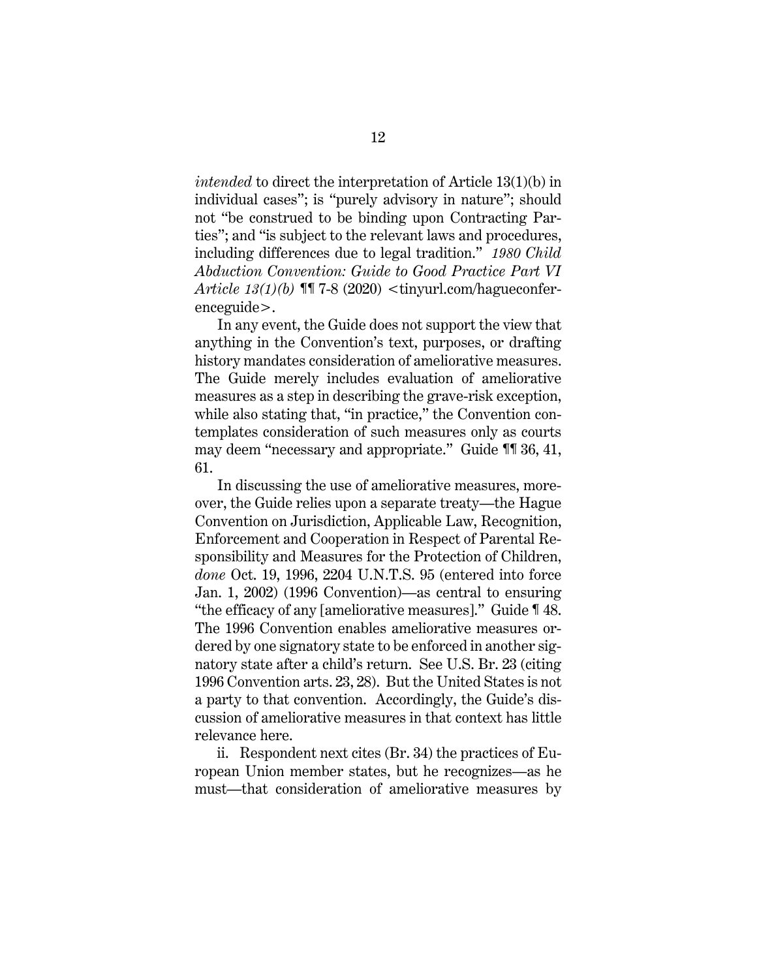*intended* to direct the interpretation of Article 13(1)(b) in individual cases"; is "purely advisory in nature"; should not "be construed to be binding upon Contracting Parties"; and "is subject to the relevant laws and procedures, including differences due to legal tradition." *1980 Child Abduction Convention: Guide to Good Practice Part VI Article 13(1)(b)* ¶¶ 7-8 (2020) <tinyurl.com/hagueconferenceguide>.

In any event, the Guide does not support the view that anything in the Convention's text, purposes, or drafting history mandates consideration of ameliorative measures. The Guide merely includes evaluation of ameliorative measures as a step in describing the grave-risk exception, while also stating that, "in practice," the Convention contemplates consideration of such measures only as courts may deem "necessary and appropriate." Guide ¶¶ 36, 41, 61.

In discussing the use of ameliorative measures, moreover, the Guide relies upon a separate treaty—the Hague Convention on Jurisdiction, Applicable Law, Recognition, Enforcement and Cooperation in Respect of Parental Responsibility and Measures for the Protection of Children, *done* Oct. 19, 1996, 2204 U.N.T.S. 95 (entered into force Jan. 1, 2002) (1996 Convention)—as central to ensuring "the efficacy of any [ameliorative measures]." Guide ¶ 48. The 1996 Convention enables ameliorative measures ordered by one signatory state to be enforced in another signatory state after a child's return. See U.S. Br. 23 (citing 1996 Convention arts. 23, 28). But the United States is not a party to that convention. Accordingly, the Guide's discussion of ameliorative measures in that context has little relevance here.

ii. Respondent next cites (Br. 34) the practices of European Union member states, but he recognizes—as he must—that consideration of ameliorative measures by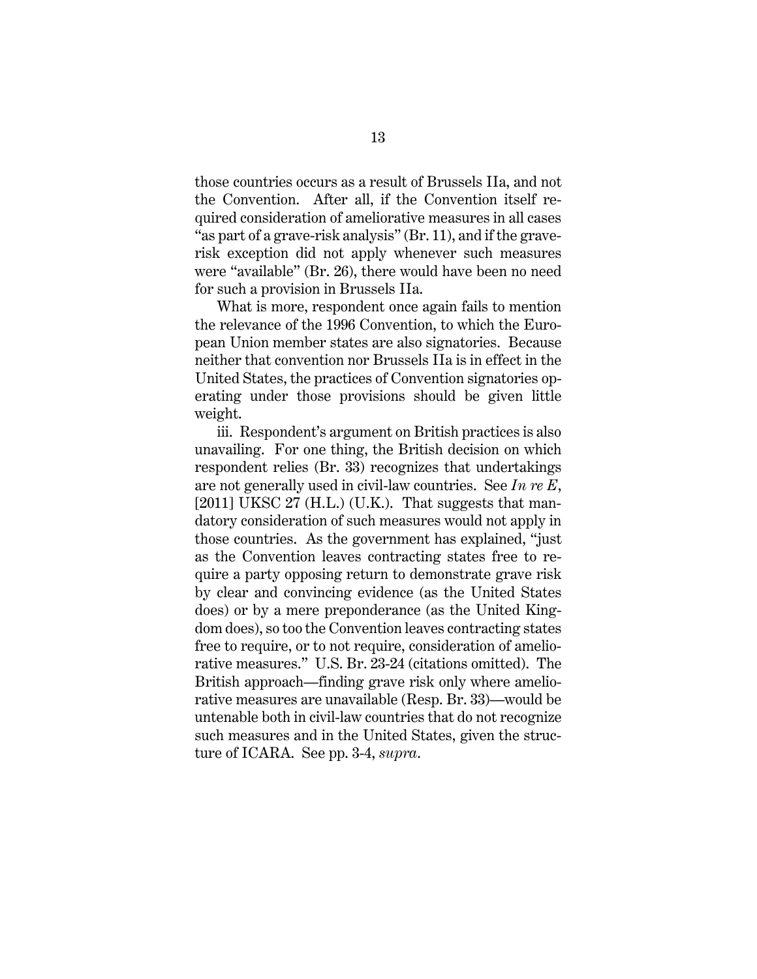those countries occurs as a result of Brussels IIa, and not the Convention. After all, if the Convention itself required consideration of ameliorative measures in all cases "as part of a grave-risk analysis" (Br. 11), and if the graverisk exception did not apply whenever such measures were "available" (Br. 26), there would have been no need for such a provision in Brussels IIa.

What is more, respondent once again fails to mention the relevance of the 1996 Convention, to which the European Union member states are also signatories. Because neither that convention nor Brussels IIa is in effect in the United States, the practices of Convention signatories operating under those provisions should be given little weight.

iii. Respondent's argument on British practices is also unavailing. For one thing, the British decision on which respondent relies (Br. 33) recognizes that undertakings are not generally used in civil-law countries. See *In re E*,  $[2011]$  UKSC 27 (H.L.) (U.K.). That suggests that mandatory consideration of such measures would not apply in those countries. As the government has explained, "just as the Convention leaves contracting states free to require a party opposing return to demonstrate grave risk by clear and convincing evidence (as the United States does) or by a mere preponderance (as the United Kingdom does), so too the Convention leaves contracting states free to require, or to not require, consideration of ameliorative measures." U.S. Br. 23-24 (citations omitted). The British approach—finding grave risk only where ameliorative measures are unavailable (Resp. Br. 33)—would be untenable both in civil-law countries that do not recognize such measures and in the United States, given the structure of ICARA. See pp. 3-4, *supra*.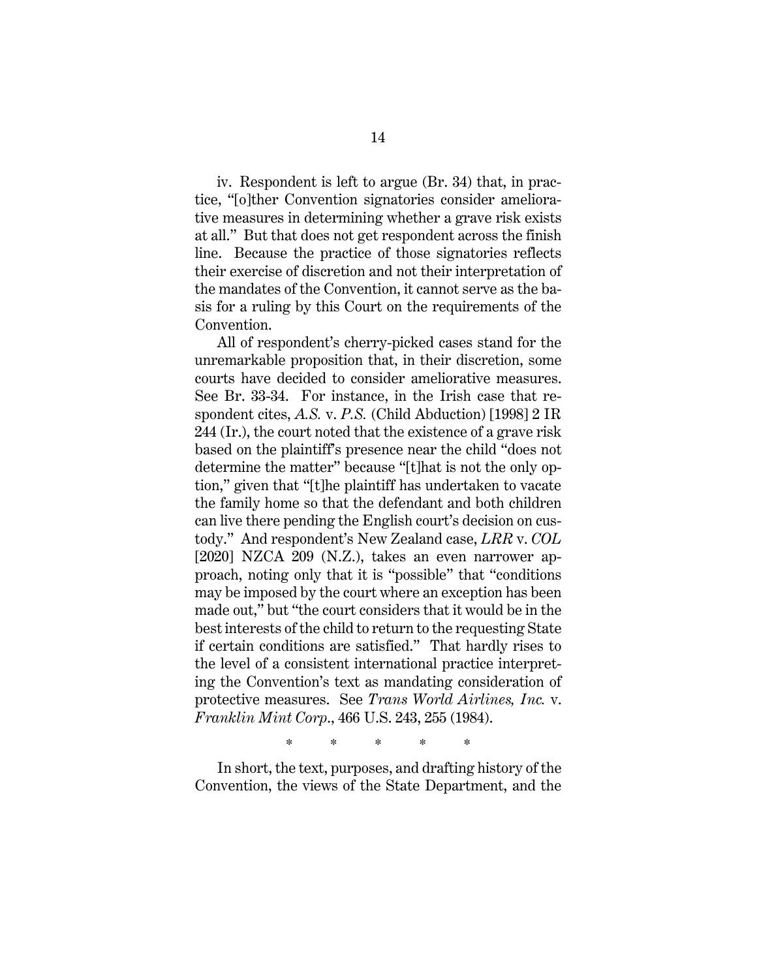iv. Respondent is left to argue (Br. 34) that, in practice, "[o]ther Convention signatories consider ameliorative measures in determining whether a grave risk exists at all." But that does not get respondent across the finish line. Because the practice of those signatories reflects their exercise of discretion and not their interpretation of the mandates of the Convention, it cannot serve as the basis for a ruling by this Court on the requirements of the Convention.

All of respondent's cherry-picked cases stand for the unremarkable proposition that, in their discretion, some courts have decided to consider ameliorative measures. See Br. 33-34. For instance, in the Irish case that respondent cites, *A.S.* v. *P.S.* (Child Abduction) [1998] 2 IR 244 (Ir.), the court noted that the existence of a grave risk based on the plaintiff's presence near the child "does not determine the matter" because "[t]hat is not the only option," given that "[t]he plaintiff has undertaken to vacate the family home so that the defendant and both children can live there pending the English court's decision on custody." And respondent's New Zealand case, *LRR* v. *COL* [2020] NZCA 209 (N.Z.), takes an even narrower approach, noting only that it is "possible" that "conditions may be imposed by the court where an exception has been made out," but "the court considers that it would be in the best interests of the child to return to the requesting State if certain conditions are satisfied." That hardly rises to the level of a consistent international practice interpreting the Convention's text as mandating consideration of protective measures. See *Trans World Airlines, Inc.* v. *Franklin Mint Corp*., 466 U.S. 243, 255 (1984).

\* \* \* \* \*

In short, the text, purposes, and drafting history of the Convention, the views of the State Department, and the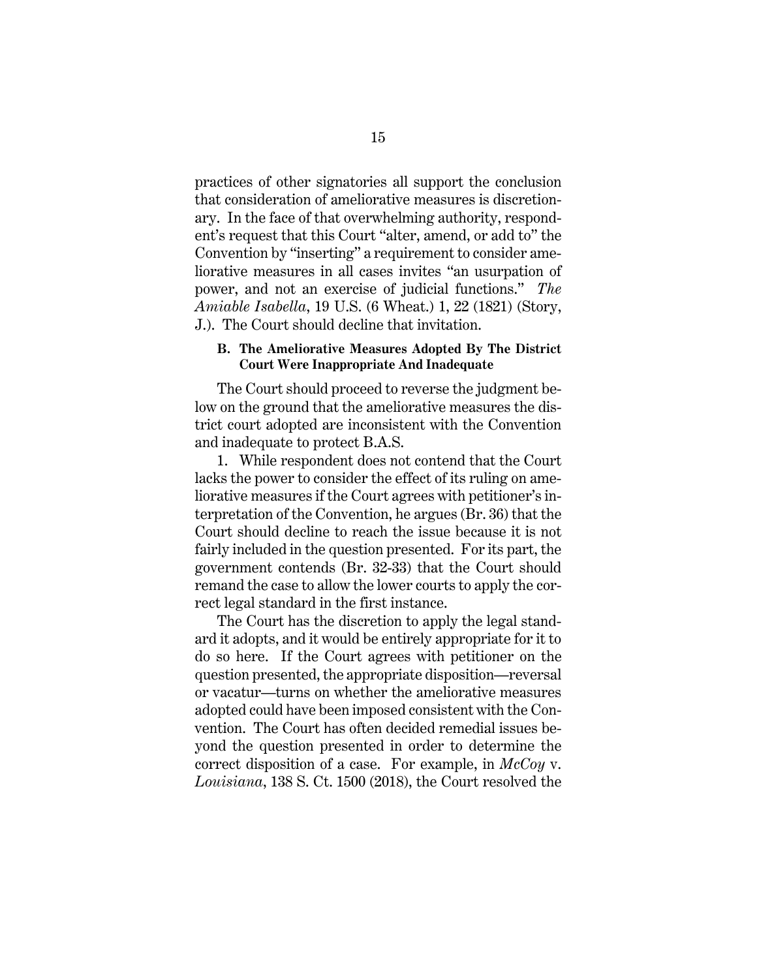practices of other signatories all support the conclusion that consideration of ameliorative measures is discretionary. In the face of that overwhelming authority, respondent's request that this Court "alter, amend, or add to" the Convention by "inserting" a requirement to consider ameliorative measures in all cases invites "an usurpation of power, and not an exercise of judicial functions." *The Amiable Isabella*, 19 U.S. (6 Wheat.) 1, 22 (1821) (Story, J.). The Court should decline that invitation.

#### **B. The Ameliorative Measures Adopted By The District Court Were Inappropriate And Inadequate**

The Court should proceed to reverse the judgment below on the ground that the ameliorative measures the district court adopted are inconsistent with the Convention and inadequate to protect B.A.S.

1. While respondent does not contend that the Court lacks the power to consider the effect of its ruling on ameliorative measures if the Court agrees with petitioner's interpretation of the Convention, he argues (Br. 36) that the Court should decline to reach the issue because it is not fairly included in the question presented. For its part, the government contends (Br. 32-33) that the Court should remand the case to allow the lower courts to apply the correct legal standard in the first instance.

The Court has the discretion to apply the legal standard it adopts, and it would be entirely appropriate for it to do so here. If the Court agrees with petitioner on the question presented, the appropriate disposition—reversal or vacatur—turns on whether the ameliorative measures adopted could have been imposed consistent with the Convention. The Court has often decided remedial issues beyond the question presented in order to determine the correct disposition of a case. For example, in *McCoy* v. *Louisiana*, 138 S. Ct. 1500 (2018), the Court resolved the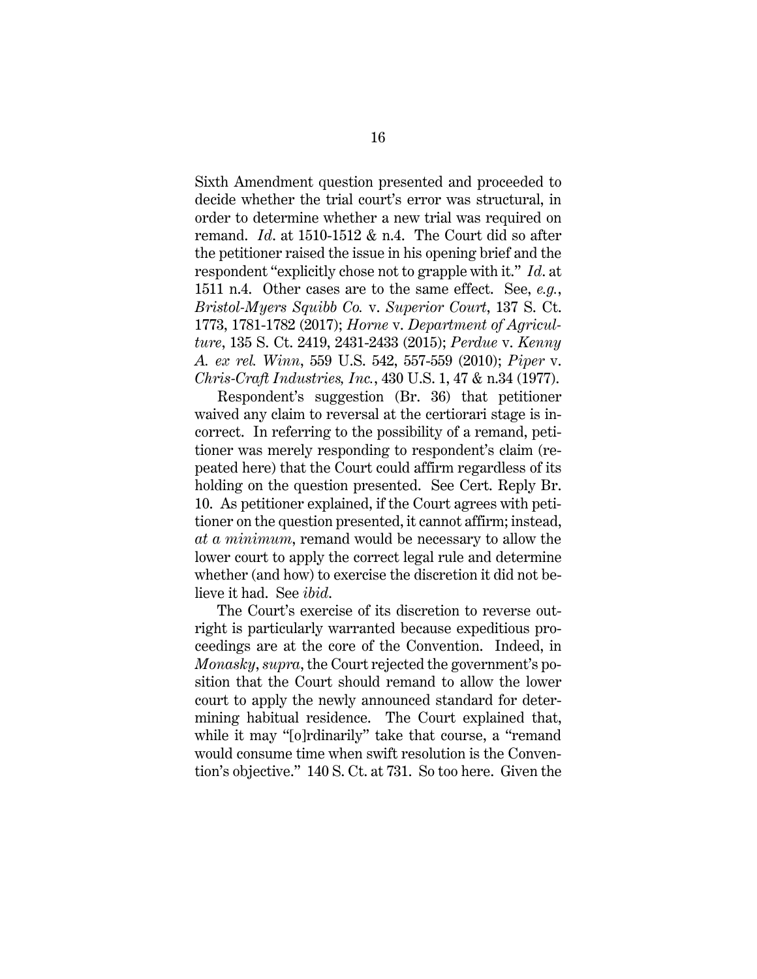Sixth Amendment question presented and proceeded to decide whether the trial court's error was structural, in order to determine whether a new trial was required on remand. *Id*. at 1510-1512 & n.4. The Court did so after the petitioner raised the issue in his opening brief and the respondent "explicitly chose not to grapple with it." *Id*. at 1511 n.4. Other cases are to the same effect. See, *e.g.*, *Bristol-Myers Squibb Co.* v. *Superior Court*, 137 S. Ct. 1773, 1781-1782 (2017); *Horne* v. *Department of Agriculture*, 135 S. Ct. 2419, 2431-2433 (2015); *Perdue* v. *Kenny A. ex rel. Winn*, 559 U.S. 542, 557-559 (2010); *Piper* v. *Chris-Craft Industries, Inc.*, 430 U.S. 1, 47 & n.34 (1977).

Respondent's suggestion (Br. 36) that petitioner waived any claim to reversal at the certiorari stage is incorrect. In referring to the possibility of a remand, petitioner was merely responding to respondent's claim (repeated here) that the Court could affirm regardless of its holding on the question presented. See Cert. Reply Br. 10. As petitioner explained, if the Court agrees with petitioner on the question presented, it cannot affirm; instead, *at a minimum*, remand would be necessary to allow the lower court to apply the correct legal rule and determine whether (and how) to exercise the discretion it did not believe it had. See *ibid*.

The Court's exercise of its discretion to reverse outright is particularly warranted because expeditious proceedings are at the core of the Convention. Indeed, in *Monasky*, *supra*, the Court rejected the government's position that the Court should remand to allow the lower court to apply the newly announced standard for determining habitual residence. The Court explained that, while it may "[o]rdinarily" take that course, a "remand would consume time when swift resolution is the Convention's objective." 140 S. Ct. at 731. So too here. Given the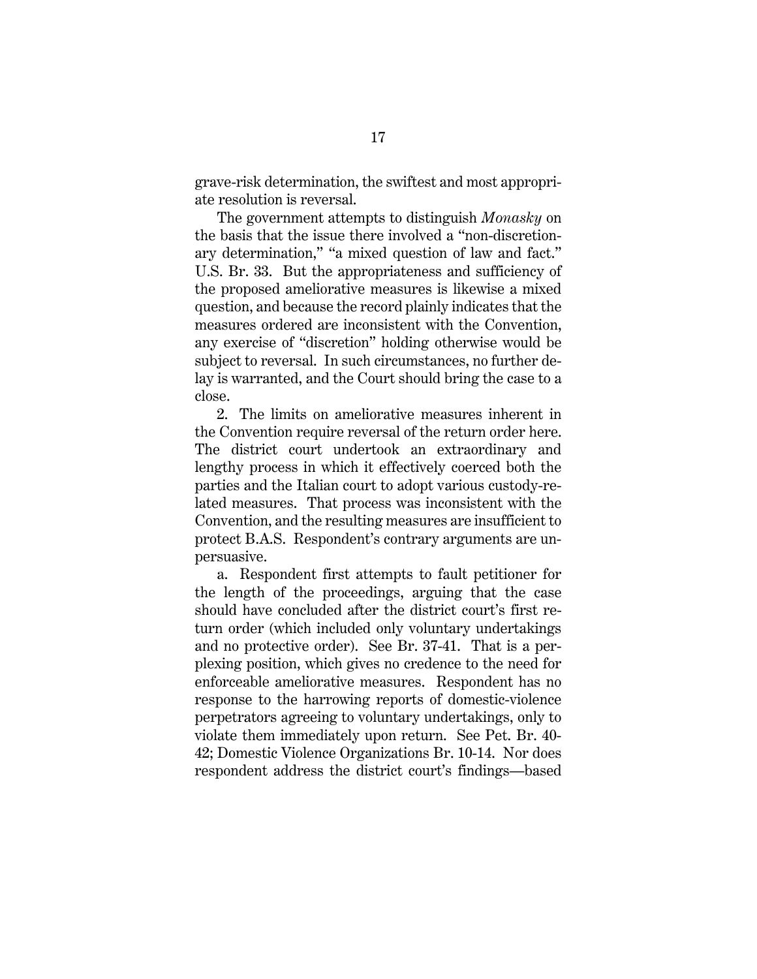grave-risk determination, the swiftest and most appropriate resolution is reversal.

The government attempts to distinguish *Monasky* on the basis that the issue there involved a "non-discretionary determination," "a mixed question of law and fact." U.S. Br. 33. But the appropriateness and sufficiency of the proposed ameliorative measures is likewise a mixed question, and because the record plainly indicates that the measures ordered are inconsistent with the Convention, any exercise of "discretion" holding otherwise would be subject to reversal. In such circumstances, no further delay is warranted, and the Court should bring the case to a close.

2. The limits on ameliorative measures inherent in the Convention require reversal of the return order here. The district court undertook an extraordinary and lengthy process in which it effectively coerced both the parties and the Italian court to adopt various custody-related measures. That process was inconsistent with the Convention, and the resulting measures are insufficient to protect B.A.S. Respondent's contrary arguments are unpersuasive.

a. Respondent first attempts to fault petitioner for the length of the proceedings, arguing that the case should have concluded after the district court's first return order (which included only voluntary undertakings and no protective order). See Br. 37-41. That is a perplexing position, which gives no credence to the need for enforceable ameliorative measures. Respondent has no response to the harrowing reports of domestic-violence perpetrators agreeing to voluntary undertakings, only to violate them immediately upon return. See Pet. Br. 40- 42; Domestic Violence Organizations Br. 10-14. Nor does respondent address the district court's findings—based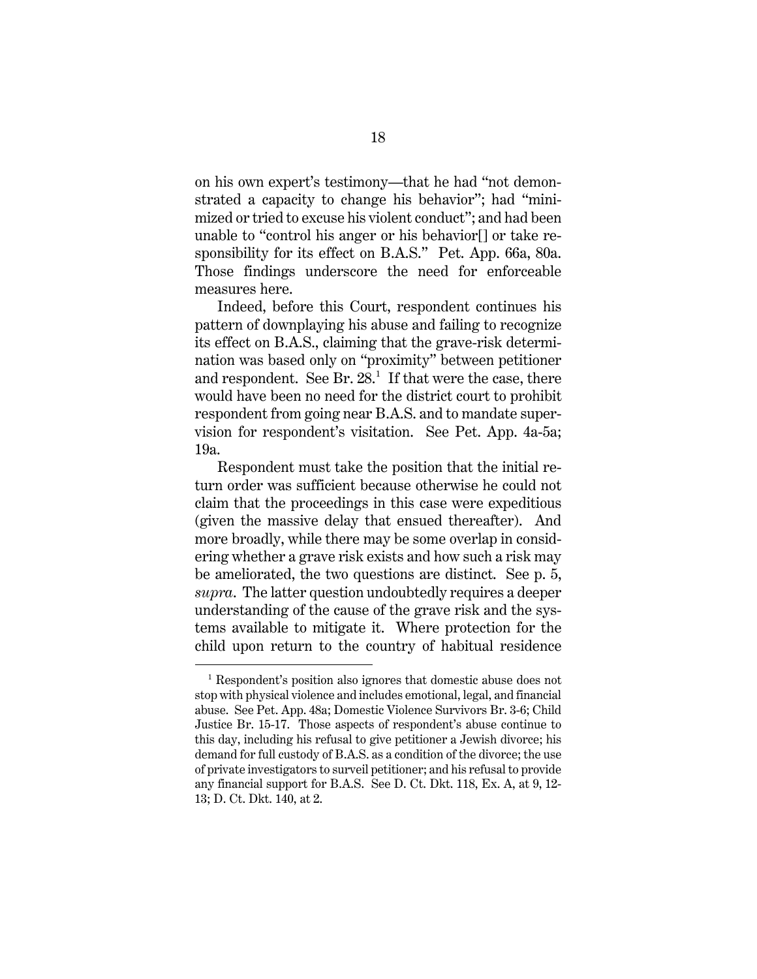on his own expert's testimony—that he had "not demonstrated a capacity to change his behavior"; had "minimized or tried to excuse his violent conduct"; and had been unable to "control his anger or his behavior[] or take responsibility for its effect on B.A.S." Pet. App. 66a, 80a. Those findings underscore the need for enforceable measures here.

Indeed, before this Court, respondent continues his pattern of downplaying his abuse and failing to recognize its effect on B.A.S., claiming that the grave-risk determination was based only on "proximity" between petitioner and respondent. See Br.  $28<sup>1</sup>$  If that were the case, there would have been no need for the district court to prohibit respondent from going near B.A.S. and to mandate supervision for respondent's visitation. See Pet. App. 4a-5a; 19a.

Respondent must take the position that the initial return order was sufficient because otherwise he could not claim that the proceedings in this case were expeditious (given the massive delay that ensued thereafter). And more broadly, while there may be some overlap in considering whether a grave risk exists and how such a risk may be ameliorated, the two questions are distinct. See p. 5, *supra*. The latter question undoubtedly requires a deeper understanding of the cause of the grave risk and the systems available to mitigate it. Where protection for the child upon return to the country of habitual residence

<sup>&</sup>lt;sup>1</sup> Respondent's position also ignores that domestic abuse does not stop with physical violence and includes emotional, legal, and financial abuse. See Pet. App. 48a; Domestic Violence Survivors Br. 3-6; Child Justice Br. 15-17. Those aspects of respondent's abuse continue to this day, including his refusal to give petitioner a Jewish divorce; his demand for full custody of B.A.S. as a condition of the divorce; the use of private investigators to surveil petitioner; and his refusal to provide any financial support for B.A.S. See D. Ct. Dkt. 118, Ex. A, at 9, 12- 13; D. Ct. Dkt. 140, at 2.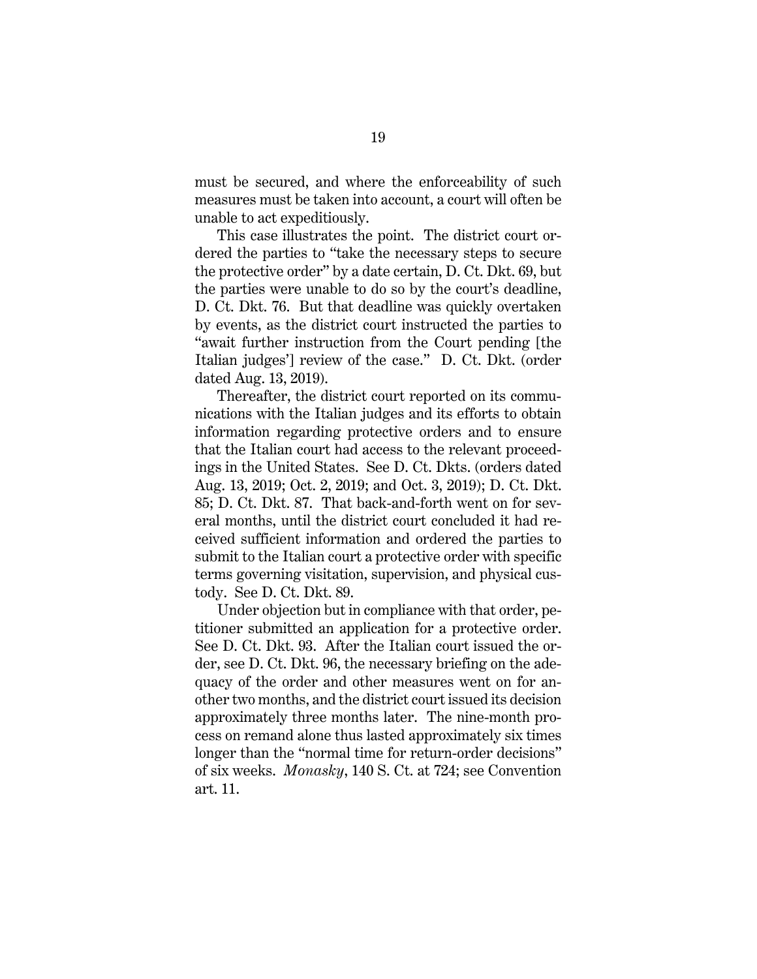must be secured, and where the enforceability of such measures must be taken into account, a court will often be unable to act expeditiously.

This case illustrates the point. The district court ordered the parties to "take the necessary steps to secure the protective order" by a date certain, D. Ct. Dkt. 69, but the parties were unable to do so by the court's deadline, D. Ct. Dkt. 76. But that deadline was quickly overtaken by events, as the district court instructed the parties to "await further instruction from the Court pending [the Italian judges'] review of the case." D. Ct. Dkt. (order dated Aug. 13, 2019).

Thereafter, the district court reported on its communications with the Italian judges and its efforts to obtain information regarding protective orders and to ensure that the Italian court had access to the relevant proceedings in the United States. See D. Ct. Dkts. (orders dated Aug. 13, 2019; Oct. 2, 2019; and Oct. 3, 2019); D. Ct. Dkt. 85; D. Ct. Dkt. 87. That back-and-forth went on for several months, until the district court concluded it had received sufficient information and ordered the parties to submit to the Italian court a protective order with specific terms governing visitation, supervision, and physical custody. See D. Ct. Dkt. 89.

Under objection but in compliance with that order, petitioner submitted an application for a protective order. See D. Ct. Dkt. 93. After the Italian court issued the order, see D. Ct. Dkt. 96, the necessary briefing on the adequacy of the order and other measures went on for another two months, and the district court issued its decision approximately three months later. The nine-month process on remand alone thus lasted approximately six times longer than the "normal time for return-order decisions" of six weeks. *Monasky*, 140 S. Ct. at 724; see Convention art. 11.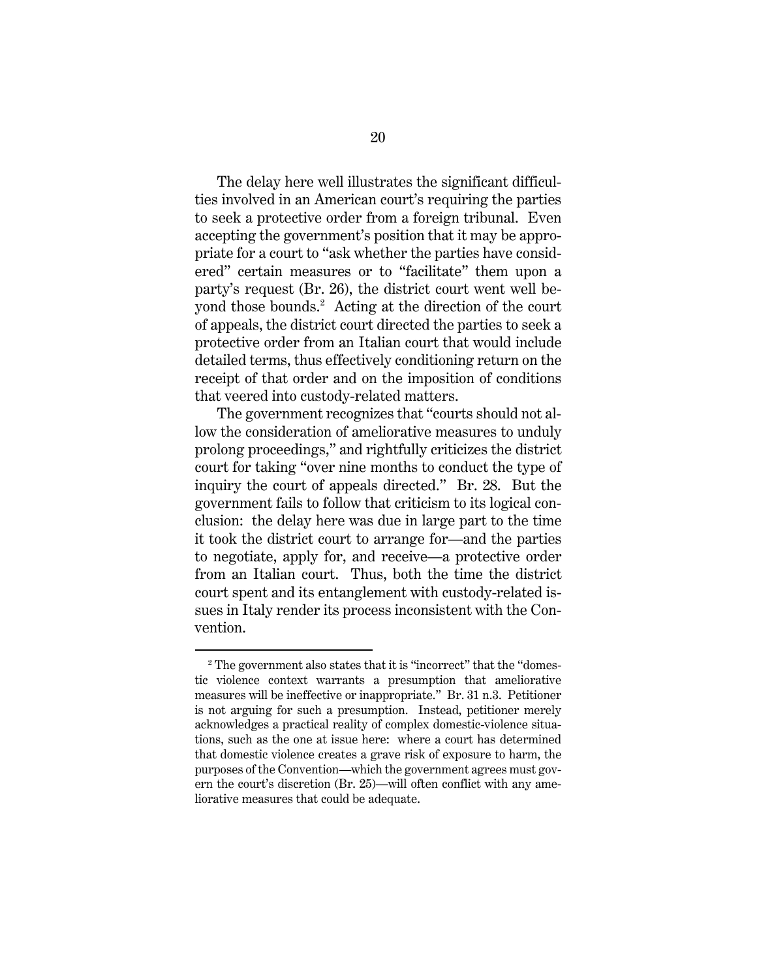The delay here well illustrates the significant difficulties involved in an American court's requiring the parties to seek a protective order from a foreign tribunal. Even accepting the government's position that it may be appropriate for a court to "ask whether the parties have considered" certain measures or to "facilitate" them upon a party's request (Br. 26), the district court went well beyond those bounds.<sup>2</sup> Acting at the direction of the court of appeals, the district court directed the parties to seek a protective order from an Italian court that would include detailed terms, thus effectively conditioning return on the receipt of that order and on the imposition of conditions that veered into custody-related matters.

The government recognizes that "courts should not allow the consideration of ameliorative measures to unduly prolong proceedings," and rightfully criticizes the district court for taking "over nine months to conduct the type of inquiry the court of appeals directed." Br. 28. But the government fails to follow that criticism to its logical conclusion: the delay here was due in large part to the time it took the district court to arrange for—and the parties to negotiate, apply for, and receive—a protective order from an Italian court. Thus, both the time the district court spent and its entanglement with custody-related issues in Italy render its process inconsistent with the Convention.

<sup>&</sup>lt;sup>2</sup> The government also states that it is "incorrect" that the "domestic violence context warrants a presumption that ameliorative measures will be ineffective or inappropriate." Br. 31 n.3. Petitioner is not arguing for such a presumption. Instead, petitioner merely acknowledges a practical reality of complex domestic-violence situations, such as the one at issue here: where a court has determined that domestic violence creates a grave risk of exposure to harm, the purposes of the Convention—which the government agrees must govern the court's discretion (Br. 25)—will often conflict with any ameliorative measures that could be adequate.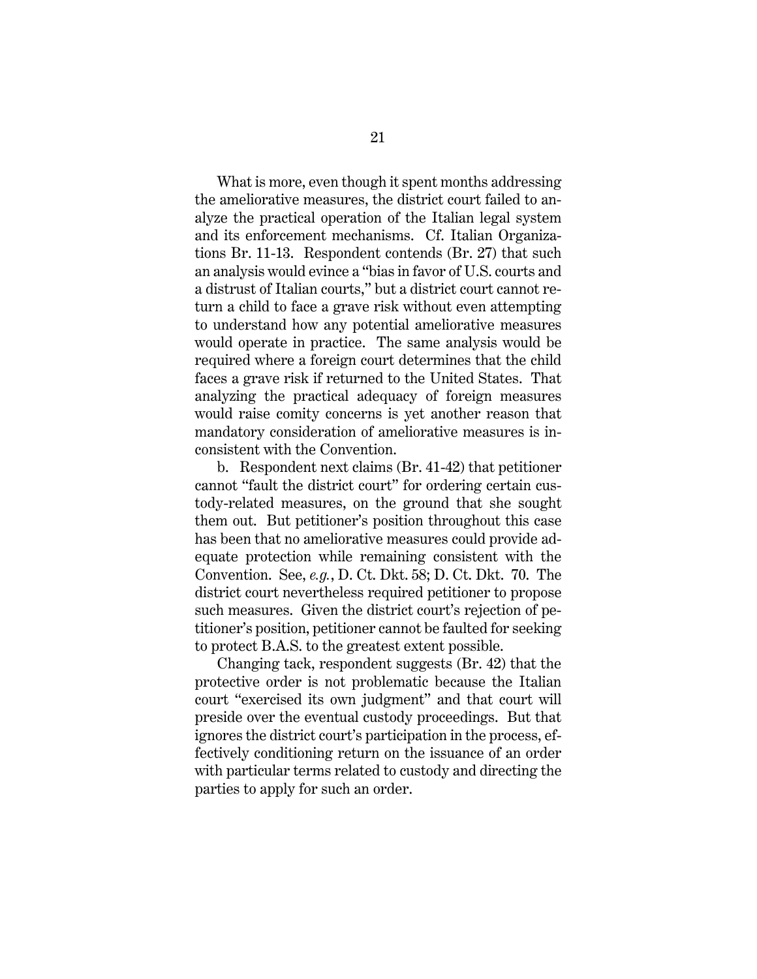What is more, even though it spent months addressing the ameliorative measures, the district court failed to analyze the practical operation of the Italian legal system and its enforcement mechanisms. Cf. Italian Organizations Br. 11-13. Respondent contends (Br. 27) that such an analysis would evince a "bias in favor of U.S. courts and a distrust of Italian courts," but a district court cannot return a child to face a grave risk without even attempting to understand how any potential ameliorative measures would operate in practice. The same analysis would be required where a foreign court determines that the child faces a grave risk if returned to the United States. That analyzing the practical adequacy of foreign measures would raise comity concerns is yet another reason that mandatory consideration of ameliorative measures is inconsistent with the Convention.

b. Respondent next claims (Br. 41-42) that petitioner cannot "fault the district court" for ordering certain custody-related measures, on the ground that she sought them out. But petitioner's position throughout this case has been that no ameliorative measures could provide adequate protection while remaining consistent with the Convention. See, *e.g.*, D. Ct. Dkt. 58; D. Ct. Dkt. 70. The district court nevertheless required petitioner to propose such measures. Given the district court's rejection of petitioner's position, petitioner cannot be faulted for seeking to protect B.A.S. to the greatest extent possible.

Changing tack, respondent suggests (Br. 42) that the protective order is not problematic because the Italian court "exercised its own judgment" and that court will preside over the eventual custody proceedings. But that ignores the district court's participation in the process, effectively conditioning return on the issuance of an order with particular terms related to custody and directing the parties to apply for such an order.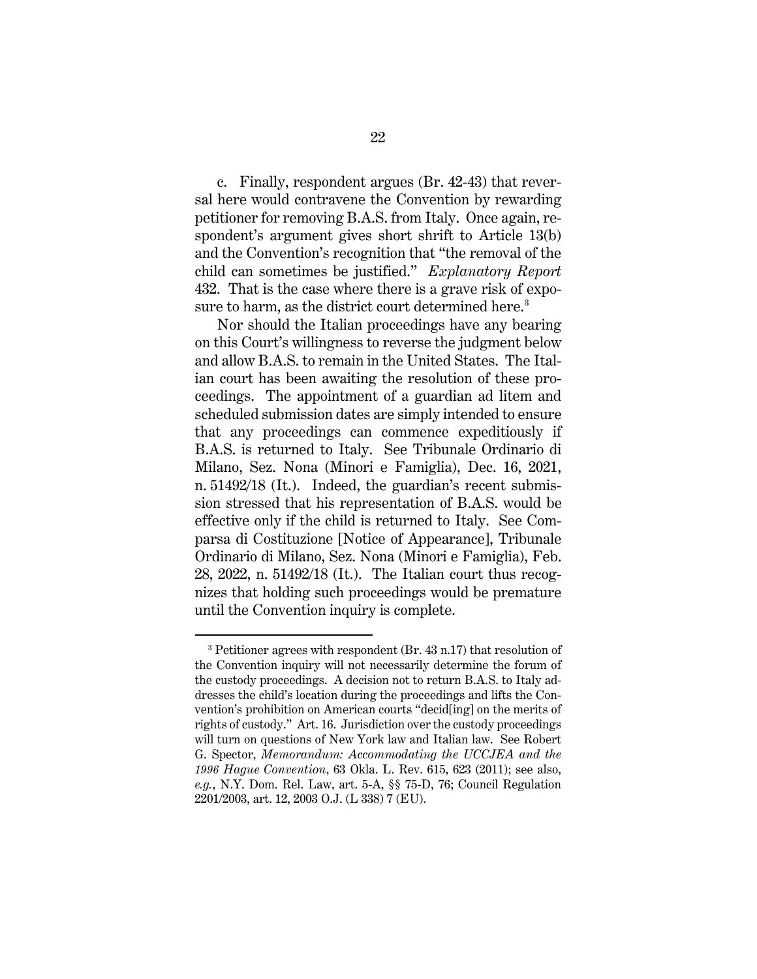c. Finally, respondent argues (Br. 42-43) that reversal here would contravene the Convention by rewarding petitioner for removing B.A.S. from Italy. Once again, respondent's argument gives short shrift to Article 13(b) and the Convention's recognition that "the removal of the child can sometimes be justified." *Explanatory Report* 432. That is the case where there is a grave risk of exposure to harm, as the district court determined here.<sup>3</sup>

Nor should the Italian proceedings have any bearing on this Court's willingness to reverse the judgment below and allow B.A.S. to remain in the United States. The Italian court has been awaiting the resolution of these proceedings. The appointment of a guardian ad litem and scheduled submission dates are simply intended to ensure that any proceedings can commence expeditiously if B.A.S. is returned to Italy. See Tribunale Ordinario di Milano, Sez. Nona (Minori e Famiglia), Dec. 16, 2021, n. 51492/18 (It.). Indeed, the guardian's recent submission stressed that his representation of B.A.S. would be effective only if the child is returned to Italy. See Comparsa di Costituzione [Notice of Appearance], Tribunale Ordinario di Milano, Sez. Nona (Minori e Famiglia), Feb. 28, 2022, n. 51492/18 (It.). The Italian court thus recognizes that holding such proceedings would be premature until the Convention inquiry is complete.

 <sup>3</sup> Petitioner agrees with respondent (Br. 43 n.17) that resolution of the Convention inquiry will not necessarily determine the forum of the custody proceedings. A decision not to return B.A.S. to Italy addresses the child's location during the proceedings and lifts the Convention's prohibition on American courts "decid[ing] on the merits of rights of custody." Art. 16. Jurisdiction over the custody proceedings will turn on questions of New York law and Italian law. See Robert G. Spector, *Memorandum: Accommodating the UCCJEA and the 1996 Hague Convention*, 63 Okla. L. Rev. 615, 623 (2011); see also, *e.g.*, N.Y. Dom. Rel. Law, art. 5-A, §§ 75-D, 76; Council Regulation 2201/2003, art. 12, 2003 O.J. (L 338) 7 (EU).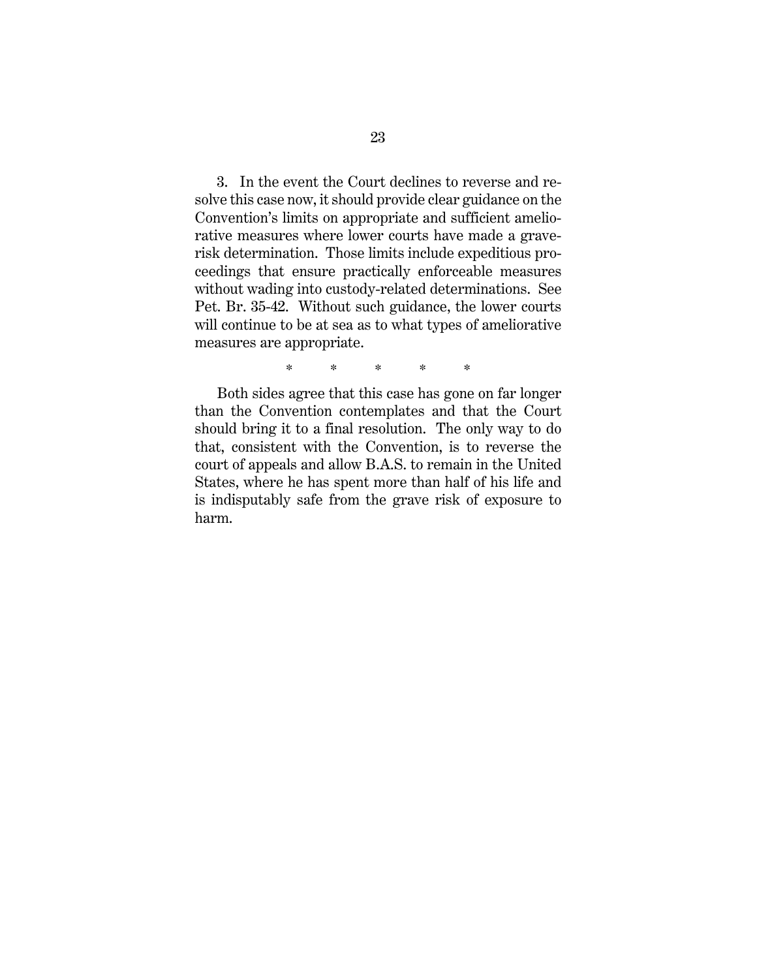3. In the event the Court declines to reverse and resolve this case now, it should provide clear guidance on the Convention's limits on appropriate and sufficient ameliorative measures where lower courts have made a graverisk determination. Those limits include expeditious proceedings that ensure practically enforceable measures without wading into custody-related determinations. See Pet. Br. 35-42. Without such guidance, the lower courts will continue to be at sea as to what types of ameliorative measures are appropriate.

\* \* \* \* \*

Both sides agree that this case has gone on far longer than the Convention contemplates and that the Court should bring it to a final resolution. The only way to do that, consistent with the Convention, is to reverse the court of appeals and allow B.A.S. to remain in the United States, where he has spent more than half of his life and is indisputably safe from the grave risk of exposure to harm.